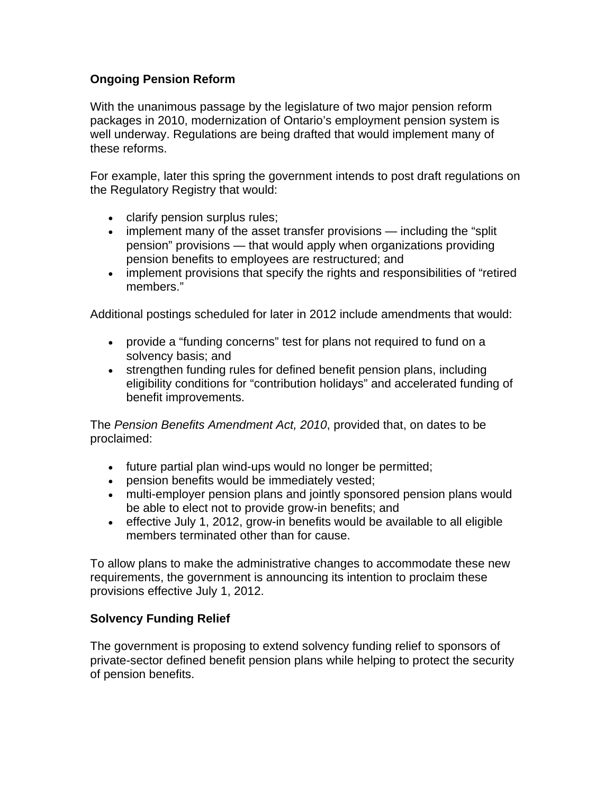## **Ongoing Pension Reform**

With the unanimous passage by the legislature of two major pension reform packages in 2010, modernization of Ontario's employment pension system is well underway. Regulations are being drafted that would implement many of these reforms.

For example, later this spring the government intends to post draft regulations on the Regulatory Registry that would:

- clarify pension surplus rules;
- implement many of the asset transfer provisions including the "split" pension" provisions — that would apply when organizations providing pension benefits to employees are restructured; and
- implement provisions that specify the rights and responsibilities of "retired members."

Additional postings scheduled for later in 2012 include amendments that would:

- provide a "funding concerns" test for plans not required to fund on a solvency basis; and
- strengthen funding rules for defined benefit pension plans, including eligibility conditions for "contribution holidays" and accelerated funding of benefit improvements.

The *Pension Benefits Amendment Act, 2010*, provided that, on dates to be proclaimed:

- future partial plan wind-ups would no longer be permitted;
- pension benefits would be immediately vested;
- multi-employer pension plans and jointly sponsored pension plans would be able to elect not to provide grow-in benefits; and
- effective July 1, 2012, grow-in benefits would be available to all eligible members terminated other than for cause.

To allow plans to make the administrative changes to accommodate these new requirements, the government is announcing its intention to proclaim these provisions effective July 1, 2012.

## **Solvency Funding Relief**

The government is proposing to extend solvency funding relief to sponsors of private-sector defined benefit pension plans while helping to protect the security of pension benefits.